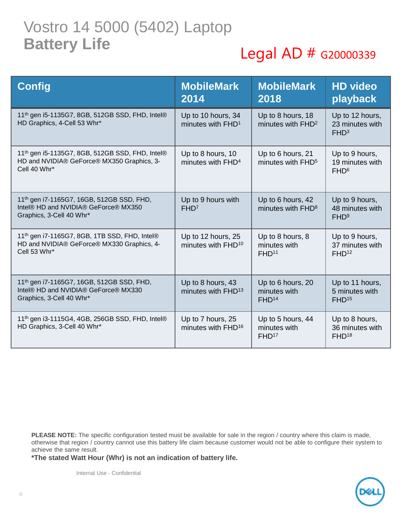## Vostro 14 5000 (5402) Laptop **Battery Life**

#### Legal AD # G20000339

| <b>Config</b>                                                                                                             | <b>MobileMark</b><br>2014                            | <b>MobileMark</b><br>2018                              | <b>HD video</b><br>playback                            |
|---------------------------------------------------------------------------------------------------------------------------|------------------------------------------------------|--------------------------------------------------------|--------------------------------------------------------|
| 11 <sup>th</sup> gen i5-1135G7, 8GB, 512GB SSD, FHD, Intel®<br>HD Graphics, 4-Cell 53 Whr*                                | Up to 10 hours, 34<br>minutes with FHD <sup>1</sup>  | Up to 8 hours, 18<br>minutes with FHD <sup>2</sup>     | Up to 12 hours,<br>23 minutes with<br>FHD <sup>3</sup> |
| 11 <sup>th</sup> gen i5-1135G7, 8GB, 512GB SSD, FHD, Intel®<br>HD and NVIDIA® GeForce® MX350 Graphics, 3-<br>Cell 40 Whr* | Up to 8 hours, 10<br>minutes with FHD <sup>4</sup>   | Up to 6 hours, 21<br>minutes with FHD <sup>5</sup>     | Up to 9 hours,<br>19 minutes with<br>FHD <sup>6</sup>  |
| 11th gen i7-1165G7, 16GB, 512GB SSD, FHD,<br>Intel® HD and NVIDIA® GeForce® MX350<br>Graphics, 3-Cell 40 Whr*             | Up to 9 hours with<br>FHD <sup>7</sup>               | Up to 6 hours, 42<br>minutes with FHD <sup>8</sup>     | Up to 9 hours,<br>48 minutes with<br>FHD <sup>9</sup>  |
| 11 <sup>th</sup> gen i7-1165G7, 8GB, 1TB SSD, FHD, Intel®<br>HD and NVIDIA® GeForce® MX330 Graphics, 4-<br>Cell 53 Whr*   | Up to 12 hours, 25<br>minutes with FHD <sup>10</sup> | Up to 8 hours, 8<br>minutes with<br>FHD <sup>11</sup>  | Up to 9 hours,<br>37 minutes with<br>FHD <sup>12</sup> |
| 11th gen i7-1165G7, 16GB, 512GB SSD, FHD,<br>Intel® HD and NVIDIA® GeForce® MX330<br>Graphics, 3-Cell 40 Whr*             | Up to 8 hours, 43<br>minutes with FHD <sup>13</sup>  | Up to 6 hours, 20<br>minutes with<br>FHD <sup>14</sup> | Up to 11 hours,<br>5 minutes with<br>FHD <sup>15</sup> |
| 11 <sup>th</sup> gen i3-1115G4, 4GB, 256GB SSD, FHD, Intel®<br>HD Graphics, 3-Cell 40 Whr*                                | Up to 7 hours, 25<br>minutes with FHD <sup>16</sup>  | Up to 5 hours, 44<br>minutes with<br>FHD <sup>17</sup> | Up to 8 hours,<br>36 minutes with<br>FHD <sup>18</sup> |

PLEASE NOTE: The specific configuration tested must be available for sale in the region / country where this claim is made, otherwise that region / country cannot use this battery life claim because customer would not be able to configure their system to achieve the same result.

**\*The stated Watt Hour (Whr) is not an indication of battery life.**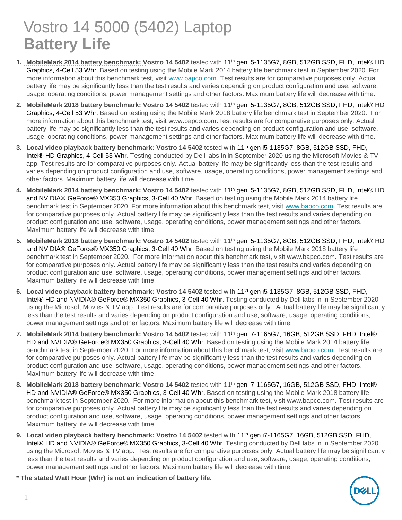# Vostro 14 5000 (5402) Laptop **Battery Life**

- **1. MobileMark 2014 battery benchmark: Vostro 14 5402** tested with 11th gen i5-1135G7, 8GB, 512GB SSD, FHD, Intel® HD Graphics, 4-Cell 53 Whr. Based on testing using the Mobile Mark 2014 battery life benchmark test in September 2020. For more information about this benchmark test, visit [www.bapco.com.](http://www.bapco.com/) Test results are for comparative purposes only. Actual battery life may be significantly less than the test results and varies depending on product configuration and use, software, usage, operating conditions, power management settings and other factors. Maximum battery life will decrease with time.
- **2. MobileMark 2018 battery benchmark: Vostro 14 5402** tested with 11th gen i5-1135G7, 8GB, 512GB SSD, FHD, Intel® HD Graphics, 4-Cell 53 Whr. Based on testing using the Mobile Mark 2018 battery life benchmark test in September 2020. For more information about this benchmark test, visit www.bapco.com.Test results are for comparative purposes only. Actual battery life may be significantly less than the test results and varies depending on product configuration and use, software, usage, operating conditions, power management settings and other factors. Maximum battery life will decrease with time.
- **3. Local video playback battery benchmark: Vostro 14 5402** tested with 11th gen i5-1135G7, 8GB, 512GB SSD, FHD, Intel® HD Graphics, 4-Cell 53 Whr. Testing conducted by Dell labs in in September 2020 using the Microsoft Movies & TV app. Test results are for comparative purposes only. Actual battery life may be significantly less than the test results and varies depending on product configuration and use, software, usage, operating conditions, power management settings and other factors. Maximum battery life will decrease with time.
- **4. MobileMark 2014 battery benchmark: Vostro 14 5402** tested with 11th gen i5-1135G7, 8GB, 512GB SSD, FHD, Intel® HD and NVIDIA® GeForce® MX350 Graphics, 3-Cell 40 Whr. Based on testing using the Mobile Mark 2014 battery life benchmark test in September 2020. For more information about this benchmark test, visit [www.bapco.com.](http://www.bapco.com/) Test results are for comparative purposes only. Actual battery life may be significantly less than the test results and varies depending on product configuration and use, software, usage, operating conditions, power management settings and other factors. Maximum battery life will decrease with time.
- **5. MobileMark 2018 battery benchmark: Vostro 14 5402** tested with 11th gen i5-1135G7, 8GB, 512GB SSD, FHD, Intel® HD and NVIDIA® GeForce® MX350 Graphics, 3-Cell 40 Whr. Based on testing using the Mobile Mark 2018 battery life benchmark test in September 2020. For more information about this benchmark test, visit www.bapco.com. Test results are for comparative purposes only. Actual battery life may be significantly less than the test results and varies depending on product configuration and use, software, usage, operating conditions, power management settings and other factors. Maximum battery life will decrease with time.
- **6. Local video playback battery benchmark: Vostro 14 5402** tested with 11th gen i5-1135G7, 8GB, 512GB SSD, FHD, Intel® HD and NVIDIA® GeForce® MX350 Graphics, 3-Cell 40 Whr. Testing conducted by Dell labs in in September 2020 using the Microsoft Movies & TV app. Test results are for comparative purposes only. Actual battery life may be significantly less than the test results and varies depending on product configuration and use, software, usage, operating conditions, power management settings and other factors. Maximum battery life will decrease with time.
- **7. MobileMark 2014 battery benchmark: Vostro 14 5402** tested with 11th gen i7-1165G7, 16GB, 512GB SSD, FHD, Intel® HD and NVIDIA® GeForce® MX350 Graphics, 3-Cell 40 Whr. Based on testing using the Mobile Mark 2014 battery life benchmark test in September 2020. For more information about this benchmark test, visit [www.bapco.com.](http://www.bapco.com/) Test results are for comparative purposes only. Actual battery life may be significantly less than the test results and varies depending on product configuration and use, software, usage, operating conditions, power management settings and other factors. Maximum battery life will decrease with time.
- **8. MobileMark 2018 battery benchmark: Vostro 14 5402** tested with 11th gen i7-1165G7, 16GB, 512GB SSD, FHD, Intel® HD and NVIDIA® GeForce® MX350 Graphics, 3-Cell 40 Whr. Based on testing using the Mobile Mark 2018 battery life benchmark test in September 2020. For more information about this benchmark test, visit www.bapco.com. Test results are for comparative purposes only. Actual battery life may be significantly less than the test results and varies depending on product configuration and use, software, usage, operating conditions, power management settings and other factors. Maximum battery life will decrease with time.
- **9. Local video playback battery benchmark: Vostro 14 5402** tested with 11th gen i7-1165G7, 16GB, 512GB SSD, FHD, Intel® HD and NVIDIA® GeForce® MX350 Graphics, 3-Cell 40 Whr. Testing conducted by Dell labs in in September 2020 using the Microsoft Movies & TV app. Test results are for comparative purposes only. Actual battery life may be significantly less than the test results and varies depending on product configuration and use, software, usage, operating conditions, power management settings and other factors. Maximum battery life will decrease with time.
- **\* The stated Watt Hour (Whr) is not an indication of battery life.**

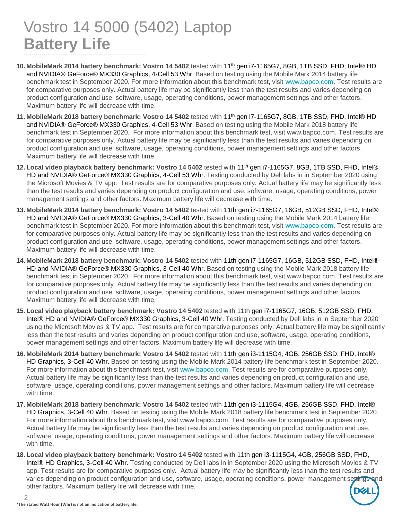## Vostro 14 5000 (5402) Laptop **Battery Life**

- **10. MobileMark 2014 battery benchmark: Vostro 14 5402** tested with 11th gen i7-1165G7, 8GB, 1TB SSD, FHD, Intel® HD and NVIDIA® GeForce® MX330 Graphics, 4-Cell 53 Whr. Based on testing using the Mobile Mark 2014 battery life benchmark test in September 2020. For more information about this benchmark test, visit [www.bapco.com.](http://www.bapco.com/) Test results are for comparative purposes only. Actual battery life may be significantly less than the test results and varies depending on product configuration and use, software, usage, operating conditions, power management settings and other factors. Maximum battery life will decrease with time.
- **11. MobileMark 2018 battery benchmark: Vostro 14 5402** tested with 11th gen i7-1165G7, 8GB, 1TB SSD, FHD, Intel® HD and NVIDIA® GeForce® MX330 Graphics, 4-Cell 53 Whr. Based on testing using the Mobile Mark 2018 battery life benchmark test in September 2020. For more information about this benchmark test, visit www.bapco.com. Test results are for comparative purposes only. Actual battery life may be significantly less than the test results and varies depending on product configuration and use, software, usage, operating conditions, power management settings and other factors. Maximum battery life will decrease with time.
- **12. Local video playback battery benchmark: Vostro 14 5402** tested with 11th gen i7-1165G7, 8GB, 1TB SSD, FHD, Intel® HD and NVIDIA® GeForce® MX330 Graphics, 4-Cell 53 Whr. Testing conducted by Dell labs in in September 2020 using the Microsoft Movies & TV app. Test results are for comparative purposes only. Actual battery life may be significantly less than the test results and varies depending on product configuration and use, software, usage, operating conditions, power management settings and other factors. Maximum battery life will decrease with time.
- **13. MobileMark 2014 battery benchmark: Vostro 14 5402** tested with 11th gen i7-1165G7, 16GB, 512GB SSD, FHD, Intel® HD and NVIDIA® GeForce® MX330 Graphics, 3-Cell 40 Whr. Based on testing using the Mobile Mark 2014 battery life benchmark test in September 2020. For more information about this benchmark test, visit [www.bapco.com.](http://www.bapco.com/) Test results are for comparative purposes only. Actual battery life may be significantly less than the test results and varies depending on product configuration and use, software, usage, operating conditions, power management settings and other factors. Maximum battery life will decrease with time.
- **14. MobileMark 2018 battery benchmark: Vostro 14 5402** tested with 11th gen i7-1165G7, 16GB, 512GB SSD, FHD, Intel® HD and NVIDIA® GeForce® MX330 Graphics, 3-Cell 40 Whr. Based on testing using the Mobile Mark 2018 battery life benchmark test in September 2020. For more information about this benchmark test, visit www.bapco.com. Test results are for comparative purposes only. Actual battery life may be significantly less than the test results and varies depending on product configuration and use, software, usage, operating conditions, power management settings and other factors. Maximum battery life will decrease with time.
- **15. Local video playback battery benchmark: Vostro 14 5402** tested with 11th gen i7-1165G7, 16GB, 512GB SSD, FHD, Intel® HD and NVIDIA® GeForce® MX330 Graphics, 3-Cell 40 Whr. Testing conducted by Dell labs in in September 2020 using the Microsoft Movies & TV app. Test results are for comparative purposes only. Actual battery life may be significantly less than the test results and varies depending on product configuration and use, software, usage, operating conditions, power management settings and other factors. Maximum battery life will decrease with time.
- **16. MobileMark 2014 battery benchmark: Vostro 14 5402** tested with 11th gen i3-1115G4, 4GB, 256GB SSD, FHD, Intel® HD Graphics, 3-Cell 40 Whr. Based on testing using the Mobile Mark 2014 battery life benchmark test in September 2020. For more information about this benchmark test, visit [www.bapco.com.](http://www.bapco.com/) Test results are for comparative purposes only. Actual battery life may be significantly less than the test results and varies depending on product configuration and use, software, usage, operating conditions, power management settings and other factors. Maximum battery life will decrease with time.
- **17. MobileMark 2018 battery benchmark: Vostro 14 5402** tested with 11th gen i3-1115G4, 4GB, 256GB SSD, FHD, Intel® HD Graphics, 3-Cell 40 Whr. Based on testing using the Mobile Mark 2018 battery life benchmark test in September 2020. For more information about this benchmark test, visit www.bapco.com. Test results are for comparative purposes only. Actual battery life may be significantly less than the test results and varies depending on product configuration and use, software, usage, operating conditions, power management settings and other factors. Maximum battery life will decrease with time.
- **18. Local video playback battery benchmark: Vostro 14 5402** tested with 11th gen i3-1115G4, 4GB, 256GB SSD, FHD, Intel® HD Graphics, 3-Cell 40 Whr. Testing conducted by Dell labs in in September 2020 using the Microsoft Movies & TV app. Test results are for comparative purposes only. Actual battery life may be significantly less than the test results and varies depending on product configuration and use, software, usage, operating conditions, power management settings and other factors. Maximum battery life will decrease with time.

 $\mathfrak{D}$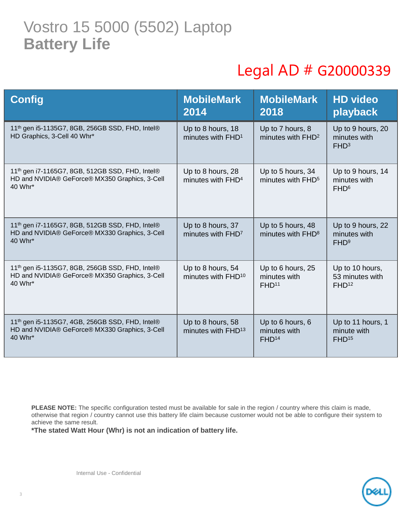### Vostro 15 5000 (5502) Laptop **Battery Life**

# Legal AD # G20000339

| <b>Config</b>                                                                                                            | <b>MobileMark</b><br>2014                           | <b>MobileMark</b><br>2018                              | <b>HD video</b><br>playback                             |
|--------------------------------------------------------------------------------------------------------------------------|-----------------------------------------------------|--------------------------------------------------------|---------------------------------------------------------|
| 11 <sup>th</sup> gen i5-1135G7, 8GB, 256GB SSD, FHD, Intel®<br>HD Graphics, 3-Cell 40 Whr*                               | Up to 8 hours, 18<br>minutes with FHD <sup>1</sup>  | Up to 7 hours, 8<br>minutes with FHD <sup>2</sup>      | Up to 9 hours, 20<br>minutes with<br>FHD <sup>3</sup>   |
| 11th gen i7-1165G7, 8GB, 512GB SSD, FHD, Intel®<br>HD and NVIDIA® GeForce® MX350 Graphics, 3-Cell<br>40 Whr*             | Up to 8 hours, 28<br>minutes with FHD <sup>4</sup>  | Up to 5 hours, 34<br>minutes with FHD <sup>5</sup>     | Up to 9 hours, 14<br>minutes with<br>FHD <sup>6</sup>   |
| 11 <sup>th</sup> gen i7-1165G7, 8GB, 512GB SSD, FHD, Intel®<br>HD and NVIDIA® GeForce® MX330 Graphics, 3-Cell<br>40 Whr* | Up to 8 hours, 37<br>minutes with FHD <sup>7</sup>  | Up to 5 hours, 48<br>minutes with FHD <sup>8</sup>     | Up to 9 hours, 22<br>minutes with<br>FHD <sup>9</sup>   |
| 11 <sup>th</sup> gen i5-1135G7, 8GB, 256GB SSD, FHD, Intel®<br>HD and NVIDIA® GeForce® MX350 Graphics, 3-Cell<br>40 Whr* | Up to 8 hours, 54<br>minutes with FHD <sup>10</sup> | Up to 6 hours, 25<br>minutes with<br>FHD <sup>11</sup> | Up to 10 hours,<br>53 minutes with<br>FHD <sup>12</sup> |
| 11 <sup>th</sup> gen i5-1135G7, 4GB, 256GB SSD, FHD, Intel®<br>HD and NVIDIA® GeForce® MX330 Graphics, 3-Cell<br>40 Whr* | Up to 8 hours, 58<br>minutes with FHD <sup>13</sup> | Up to 6 hours, 6<br>minutes with<br>FHD <sup>14</sup>  | Up to 11 hours, 1<br>minute with<br>FHD <sup>15</sup>   |

**PLEASE NOTE:** The specific configuration tested must be available for sale in the region / country where this claim is made, otherwise that region / country cannot use this battery life claim because customer would not be able to configure their system to achieve the same result.

**\*The stated Watt Hour (Whr) is not an indication of battery life.**

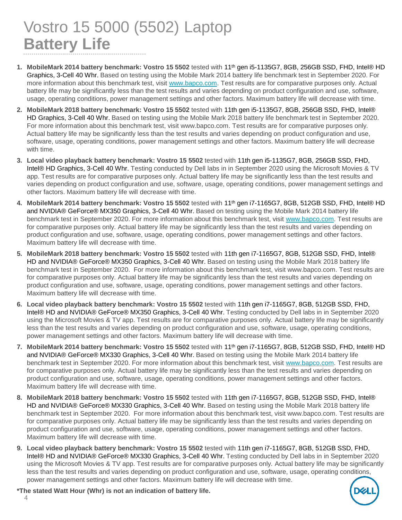# Vostro 15 5000 (5502) Laptop **Battery Life**

- **1. MobileMark 2014 battery benchmark: Vostro 15 5502** tested with 11th gen i5-1135G7, 8GB, 256GB SSD, FHD, Intel® HD Graphics, 3-Cell 40 Whr. Based on testing using the Mobile Mark 2014 battery life benchmark test in September 2020. For more information about this benchmark test, visit [www.bapco.com.](http://www.bapco.com/) Test results are for comparative purposes only. Actual battery life may be significantly less than the test results and varies depending on product configuration and use, software, usage, operating conditions, power management settings and other factors. Maximum battery life will decrease with time.
- **2. MobileMark 2018 battery benchmark: Vostro 15 5502** tested with 11th gen i5-1135G7, 8GB, 256GB SSD, FHD, Intel® HD Graphics, 3-Cell 40 Whr. Based on testing using the Mobile Mark 2018 battery life benchmark test in September 2020. For more information about this benchmark test, visit www.bapco.com. Test results are for comparative purposes only. Actual battery life may be significantly less than the test results and varies depending on product configuration and use, software, usage, operating conditions, power management settings and other factors. Maximum battery life will decrease with time.
- **3. Local video playback battery benchmark: Vostro 15 5502** tested with 11th gen i5-1135G7, 8GB, 256GB SSD, FHD, Intel® HD Graphics, 3-Cell 40 Whr. Testing conducted by Dell labs in in September 2020 using the Microsoft Movies & TV app. Test results are for comparative purposes only. Actual battery life may be significantly less than the test results and varies depending on product configuration and use, software, usage, operating conditions, power management settings and other factors. Maximum battery life will decrease with time.
- **4. MobileMark 2014 battery benchmark: Vostro 15 5502** tested with 11th gen i7-1165G7, 8GB, 512GB SSD, FHD, Intel® HD and NVIDIA® GeForce® MX350 Graphics, 3-Cell 40 Whr. Based on testing using the Mobile Mark 2014 battery life benchmark test in September 2020. For more information about this benchmark test, visit [www.bapco.com.](http://www.bapco.com/) Test results are for comparative purposes only. Actual battery life may be significantly less than the test results and varies depending on product configuration and use, software, usage, operating conditions, power management settings and other factors. Maximum battery life will decrease with time.
- **5. MobileMark 2018 battery benchmark: Vostro 15 5502** tested with 11th gen i7-1165G7, 8GB, 512GB SSD, FHD, Intel® HD and NVIDIA® GeForce® MX350 Graphics, 3-Cell 40 Whr. Based on testing using the Mobile Mark 2018 battery life benchmark test in September 2020. For more information about this benchmark test, visit www.bapco.com. Test results are for comparative purposes only. Actual battery life may be significantly less than the test results and varies depending on product configuration and use, software, usage, operating conditions, power management settings and other factors. Maximum battery life will decrease with time.
- **6. Local video playback battery benchmark: Vostro 15 5502** tested with 11th gen i7-1165G7, 8GB, 512GB SSD, FHD, Intel® HD and NVIDIA® GeForce® MX350 Graphics, 3-Cell 40 Whr. Testing conducted by Dell labs in in September 2020 using the Microsoft Movies & TV app. Test results are for comparative purposes only. Actual battery life may be significantly less than the test results and varies depending on product configuration and use, software, usage, operating conditions, power management settings and other factors. Maximum battery life will decrease with time.
- **7. MobileMark 2014 battery benchmark: Vostro 15 5502** tested with 11th gen i7-1165G7, 8GB, 512GB SSD, FHD, Intel® HD and NVIDIA® GeForce® MX330 Graphics, 3-Cell 40 Whr. Based on testing using the Mobile Mark 2014 battery life benchmark test in September 2020. For more information about this benchmark test, visit [www.bapco.com.](http://www.bapco.com/) Test results are for comparative purposes only. Actual battery life may be significantly less than the test results and varies depending on product configuration and use, software, usage, operating conditions, power management settings and other factors. Maximum battery life will decrease with time.
- **8. MobileMark 2018 battery benchmark: Vostro 15 5502** tested with 11th gen i7-1165G7, 8GB, 512GB SSD, FHD, Intel® HD and NVIDIA® GeForce® MX330 Graphics, 3-Cell 40 Whr. Based on testing using the Mobile Mark 2018 battery life benchmark test in September 2020. For more information about this benchmark test, visit www.bapco.com. Test results are for comparative purposes only. Actual battery life may be significantly less than the test results and varies depending on product configuration and use, software, usage, operating conditions, power management settings and other factors. Maximum battery life will decrease with time.
- **9. Local video playback battery benchmark: Vostro 15 5502** tested with 11th gen i7-1165G7, 8GB, 512GB SSD, FHD, Intel® HD and NVIDIA® GeForce® MX330 Graphics, 3-Cell 40 Whr. Testing conducted by Dell labs in in September 2020 using the Microsoft Movies & TV app. Test results are for comparative purposes only. Actual battery life may be significantly less than the test results and varies depending on product configuration and use, software, usage, operating conditions, power management settings and other factors. Maximum battery life will decrease with time.



**\*The stated Watt Hour (Whr) is not an indication of battery life.**

 $\Delta$